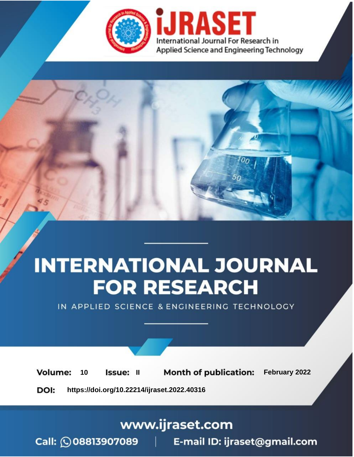

# **INTERNATIONAL JOURNAL FOR RESEARCH**

IN APPLIED SCIENCE & ENGINEERING TECHNOLOGY

**Month of publication:** February 2022 **Volume:** 10 **Issue: II** DOI: https://doi.org/10.22214/ijraset.2022.40316

www.ijraset.com

 $Call: \bigcirc$ 08813907089 E-mail ID: ijraset@gmail.com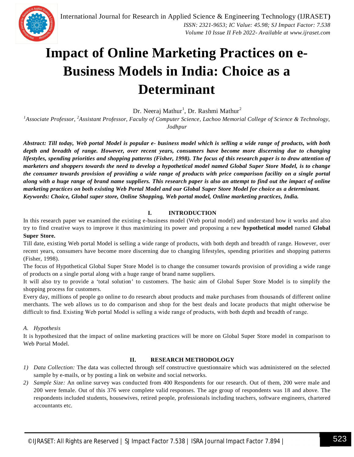### **Impact of Online Marketing Practices on e-Business Models in India: Choice as a Determinant**

Dr. Neeraj Mathur<sup>1</sup>, Dr. Rashmi Mathur<sup>2</sup>

*<sup>1</sup>Associate Professor, <sup>2</sup>Assistant Professor, Faculty of Computer Science, Lachoo Memorial College of Science & Technology, Jodhpur*

*Abstract: Till today, Web portal Model is popular e- business model which is selling a wide range of products, with both depth and breadth of range. However, over recent years, consumers have become more discerning due to changing lifestyles, spending priorities and shopping patterns (Fisher, 1998). The focus of this research paper is to draw attention of marketers and shoppers towards the need to develop a hypothetical model named Global Super Store Model, is to change the consumer towards provision of providing a wide range of products with price comparison facility on a single portal along with a huge range of brand name suppliers. This research paper is also an attempt to find out the impact of online marketing practices on both existing Web Portal Model and our Global Super Store Model for choice as a determinant. Keywords: Choice, Global super store, Online Shopping, Web portal model, Online marketing practices, India.*

#### **I. INTRODUCTION**

In this research paper we examined the existing e-business model (Web portal model) and understand how it works and also try to find creative ways to improve it thus maximizing its power and proposing a new **hypothetical model** named **Global Super Store.**

Till date, existing Web portal Model is selling a wide range of products, with both depth and breadth of range. However, over recent years, consumers have become more discerning due to changing lifestyles, spending priorities and shopping patterns (Fisher, 1998).

The focus of Hypothetical Global Super Store Model is to change the consumer towards provision of providing a wide range of products on a single portal along with a huge range of brand name suppliers.

It will also try to provide a 'total solution' to customers. The basic aim of Global Super Store Model is to simplify the shopping process for customers.

Every day, millions of people go online to do research about products and make purchases from thousands of different online merchants. The web allows us to do comparison and shop for the best deals and locate products that might otherwise be difficult to find. Existing Web portal Model is selling a wide range of products, with both depth and breadth of range.

#### *A. Hypothesis*

It is hypothesized that the impact of online marketing practices will be more on Global Super Store model in comparison to Web Portal Model.

#### **II. RESEARCH METHODOLOGY**

- *1) Data Collection:* The data was collected through self constructive questionnaire which was administered on the selected sample by e-mails, or by posting a link on website and social networks.
- *2) Sample Size:* An online survey was conducted from 400 Respondents for our research. Out of them, 200 were male and 200 were female. Out of this 376 were complete valid responses. The age group of respondents was 18 and above. The respondents included students, housewives, retired people, professionals including teachers, software engineers, chartered accountants etc.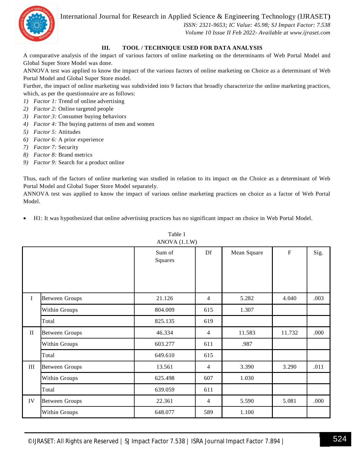International Journal for Research in Applied Science & Engineering Technology (IJRASET**)**



 *ISSN: 2321-9653; IC Value: 45.98; SJ Impact Factor: 7.538 Volume 10 Issue II Feb 2022- Available at www.ijraset.com*

#### **III. TOOL / TECHNIQUE USED FOR DATA ANALYSIS**

A comparative analysis of the impact of various factors of online marketing on the determinants of Web Portal Model and Global Super Store Model was done.

ANNOVA test was applied to know the impact of the various factors of online marketing on Choice as a determinant of Web Portal Model and Global Super Store model.

Further, the impact of online marketing was subdivided into 9 factors that broadly characterize the online marketing practices, which, as per the questionnaire are as follows:

- *1) Factor 1:* Trend of online advertising
- *2) Factor 2:* Online targeted people
- *3) Factor 3:* Consumer buying behaviors
- *4) Factor 4:* The buying patterns of men and women
- *5) Factor 5:* Attitudes
- *6) Factor 6:* A prior experience
- *7) Factor 7:* Security
- *8) Factor 8:* Brand metrics
- *9) Factor 9:* Search for a product online

Thus, each of the factors of online marketing was studied in relation to its impact on the Choice as a determinant of Web Portal Model and Global Super Store Model separately.

ANNOVA test was applied to know the impact of various online marketing practices on choice as a factor of Web Portal Model.

H1: It was hypothesized that online advertising practices has no significant impact on choice in Web Portal Model.

|             |                       | Sum of<br>Squares | Df             | Mean Square | $\mathbf F$ | Sig. |
|-------------|-----------------------|-------------------|----------------|-------------|-------------|------|
|             |                       |                   |                |             |             |      |
| $\mathbf I$ | <b>Between Groups</b> | 21.126            | 4              | 5.282       | 4.040       | .003 |
|             | Within Groups         | 804.009           | 615            | 1.307       |             |      |
|             | Total                 | 825.135           | 619            |             |             |      |
| $\rm II$    | <b>Between Groups</b> | 46.334            | $\overline{4}$ | 11.583      | 11.732      | .000 |
|             | Within Groups         | 603.277           | 611            | .987        |             |      |
|             | Total                 | 649.610           | 615            |             |             |      |
| $\rm III$   | <b>Between Groups</b> | 13.561            | $\overline{4}$ | 3.390       | 3.290       | .011 |
|             | Within Groups         | 625.498           | 607            | 1.030       |             |      |
|             | Total                 | 639.059           | 611            |             |             |      |
| ${\rm IV}$  | <b>Between Groups</b> | 22.361            | $\overline{4}$ | 5.590       | 5.081       | .000 |
|             | Within Groups         | 648.077           | 589            | 1.100       |             |      |

Table 1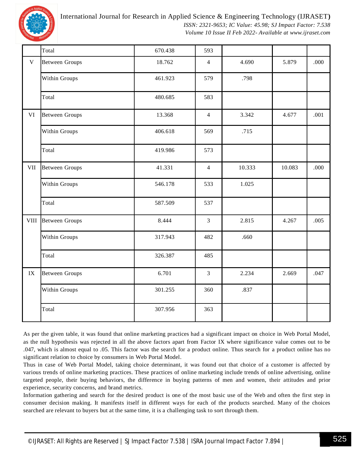

International Journal for Research in Applied Science & Engineering Technology (IJRASET**)**

 *ISSN: 2321-9653; IC Value: 45.98; SJ Impact Factor: 7.538 Volume 10 Issue II Feb 2022- Available at www.ijraset.com*

|               | Total                 | 670.438 | 593            |        |        |      |
|---------------|-----------------------|---------|----------------|--------|--------|------|
| $\mathbf V$   | <b>Between Groups</b> | 18.762  | $\overline{4}$ | 4.690  | 5.879  | .000 |
|               | Within Groups         | 461.923 | 579            | .798   |        |      |
|               | Total                 | 480.685 | 583            |        |        |      |
| VI            | <b>Between Groups</b> | 13.368  | $\overline{4}$ | 3.342  | 4.677  | .001 |
|               | Within Groups         | 406.618 | 569            | .715   |        |      |
|               | Total                 | 419.986 | 573            |        |        |      |
| VII           | <b>Between Groups</b> | 41.331  | $\overline{4}$ | 10.333 | 10.083 | .000 |
|               | Within Groups         | 546.178 | 533            | 1.025  |        |      |
|               | Total                 | 587.509 | 537            |        |        |      |
| <b>VIII</b>   | <b>Between Groups</b> | 8.444   | $\overline{3}$ | 2.815  | 4.267  | .005 |
|               | Within Groups         | 317.943 | 482            | .660   |        |      |
|               | Total                 | 326.387 | 485            |        |        |      |
| $\mathbf{IX}$ | <b>Between Groups</b> | 6.701   | $\overline{3}$ | 2.234  | 2.669  | .047 |
|               | Within Groups         | 301.255 | 360            | .837   |        |      |
|               | Total                 | 307.956 | 363            |        |        |      |

As per the given table, it was found that online marketing practices had a significant impact on choice in Web Portal Model, as the null hypothesis was rejected in all the above factors apart from Factor IX where significance value comes out to be .047, which is almost equal to .05. This factor was the search for a product online. Thus search for a product online has no significant relation to choice by consumers in Web Portal Model.

Thus in case of Web Portal Model, taking choice determinant, it was found out that choice of a customer is affected by various trends of online marketing practices. These practices of online marketing include trends of online advertising, online targeted people, their buying behaviors, the difference in buying patterns of men and women, their attitudes and prior experience, security concerns, and brand metrics.

Information gathering and search for the desired product is one of the most basic use of the Web and often the first step in consumer decision making. It manifests itself in different ways for each of the products searched. Many of the choices searched are relevant to buyers but at the same time, it is a challenging task to sort through them.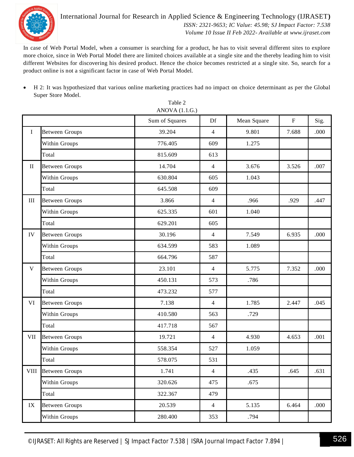

#### International Journal for Research in Applied Science & Engineering Technology (IJRASET**)**  *ISSN: 2321-9653; IC Value: 45.98; SJ Impact Factor: 7.538 Volume 10 Issue II Feb 2022- Available at www.ijraset.com*

In case of Web Portal Model, when a consumer is searching for a product, he has to visit several different sites to explore more choice, since in Web Portal Model there are limited choices available at a single site and the thereby leading him to visit different Websites for discovering his desired product. Hence the choice becomes restricted at a single site. So, search for a product online is not a significant factor in case of Web Portal Model.

 H 2: It was hypothesized that various online marketing practices had no impact on choice determinant as per the Global Super Store Model.

|               |                       | Sum of Squares | Df             | Mean Square | ${\bf F}$ | Sig. |
|---------------|-----------------------|----------------|----------------|-------------|-----------|------|
| $\mathbf I$   | <b>Between Groups</b> | 39.204         | $\overline{4}$ | 9.801       | 7.688     | .000 |
|               | Within Groups         | 776.405        | 609            | 1.275       |           |      |
|               | Total                 | 815.609        | 613            |             |           |      |
| $\rm II$      | <b>Between Groups</b> | 14.704         | $\overline{4}$ | 3.676       | 3.526     | .007 |
|               | Within Groups         | 630.804        | 605            | 1.043       |           |      |
|               | Total                 | 645.508        | 609            |             |           |      |
| $\rm III$     | <b>Between Groups</b> | 3.866          | $\overline{4}$ | .966        | .929      | .447 |
|               | Within Groups         | 625.335        | 601            | 1.040       |           |      |
|               | Total                 | 629.201        | 605            |             |           |      |
| IV            | <b>Between Groups</b> | 30.196         | 4              | 7.549       | 6.935     | .000 |
|               | Within Groups         | 634.599        | 583            | 1.089       |           |      |
|               | Total                 | 664.796        | 587            |             |           |      |
| $\mathbf V$   | <b>Between Groups</b> | 23.101         | $\overline{4}$ | 5.775       | 7.352     | .000 |
|               | Within Groups         | 450.131        | 573            | .786        |           |      |
|               | Total                 | 473.232        | 577            |             |           |      |
| VI            | <b>Between Groups</b> | 7.138          | $\overline{4}$ | 1.785       | 2.447     | .045 |
|               | Within Groups         | 410.580        | 563            | .729        |           |      |
|               | Total                 | 417.718        | 567            |             |           |      |
| <b>VII</b>    | <b>Between Groups</b> | 19.721         | $\overline{4}$ | 4.930       | 4.653     | .001 |
|               | Within Groups         | 558.354        | 527            | 1.059       |           |      |
|               | Total                 | 578.075        | 531            |             |           |      |
|               | VIII Between Groups   | 1.741          | $\overline{4}$ | .435        | .645      | .631 |
|               | Within Groups         | 320.626        | 475            | .675        |           |      |
|               | Total                 | 322.367        | 479            |             |           |      |
| $\mathbf{IX}$ | <b>Between Groups</b> | 20.539         | $\overline{4}$ | 5.135       | 6.464     | .000 |
|               | Within Groups         | 280.400        | 353            | .794        |           |      |

Table 2 ANOVA (1.1.G.)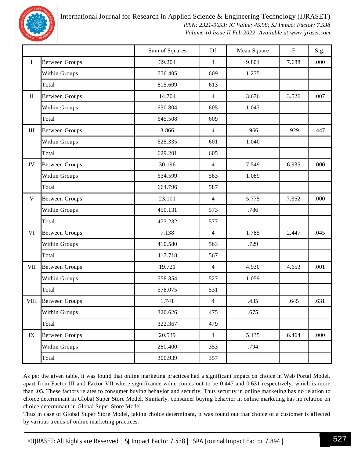

International Journal for Research in Applied Science & Engineering Technology (IJRASET**)**

 *ISSN: 2321-9653; IC Value: 45.98; SJ Impact Factor: 7.538 Volume 10 Issue II Feb 2022- Available at www.ijraset.com*

|              |                       | Sum of Squares | Df             | Mean Square | ${\bf F}$ | Sig. |
|--------------|-----------------------|----------------|----------------|-------------|-----------|------|
| $\rm I$      | <b>Between Groups</b> | 39.204         | $\overline{4}$ | 9.801       | 7.688     | .000 |
|              | Within Groups         | 776.405        | 609            | 1.275       |           |      |
|              | Total                 | 815.609        | 613            |             |           |      |
| $\mathbf{I}$ | <b>Between Groups</b> | 14.704         | $\overline{4}$ | 3.676       | 3.526     | .007 |
|              | Within Groups         | 630.804        | 605            | 1.043       |           |      |
|              | Total                 | 645.508        | 609            |             |           |      |
| $\rm III$    | <b>Between Groups</b> | 3.866          | $\overline{4}$ | .966        | .929      | .447 |
|              | Within Groups         | 625.335        | 601            | 1.040       |           |      |
|              | Total                 | 629.201        | 605            |             |           |      |
| IV           | <b>Between Groups</b> | 30.196         | $\overline{4}$ | 7.549       | 6.935     | .000 |
|              | Within Groups         | 634.599        | 583            | 1.089       |           |      |
|              | Total                 | 664.796        | 587            |             |           |      |
| $\mathbf V$  | <b>Between Groups</b> | 23.101         | $\overline{4}$ | 5.775       | 7.352     | .000 |
|              | Within Groups         | 450.131        | 573            | .786        |           |      |
|              | Total                 | 473.232        | 577            |             |           |      |
| VI           | <b>Between Groups</b> | 7.138          | $\overline{4}$ | 1.785       | 2.447     | .045 |
|              | Within Groups         | 410.580        | 563            | .729        |           |      |
|              | Total                 | 417.718        | 567            |             |           |      |
| <b>VII</b>   | <b>Between Groups</b> | 19.721         | $\overline{4}$ | 4.930       | 4.653     | .001 |
|              | Within Groups         | 558.354        | 527            | 1.059       |           |      |
|              | Total                 | 578.075        | 531            |             |           |      |
|              | VIII Between Groups   | 1.741          | 4              | .435        | .645      | .631 |
|              | Within Groups         | 320.626        | 475            | .675        |           |      |
|              | Total                 | 322.367        | 479            |             |           |      |
| IX           | <b>Between Groups</b> | 20.539         | $\overline{4}$ | 5.135       | 6.464     | .000 |
|              | Within Groups         | 280.400        | 353            | .794        |           |      |
|              | Total                 | 300.939        | 357            |             |           |      |

As per the given table, it was found that online marketing practices had a significant impact on choice in Web Portal Model, apart from Factor III and Factor VII where significance value comes out to be 0.447 and 0.631 respectively, which is more than .05. These factors relates to consumer buying behavior and security. Thus security in online marketing has no relation to choice determinant in Global Super Store Model. Similarly, consumer buying behavior in online marketing has no relation on choice determinant in Global Super Store Model.

Thus in case of Global Super Store Model, taking choice determinant, it was found out that choice of a customer is affected by various trends of online marketing practices.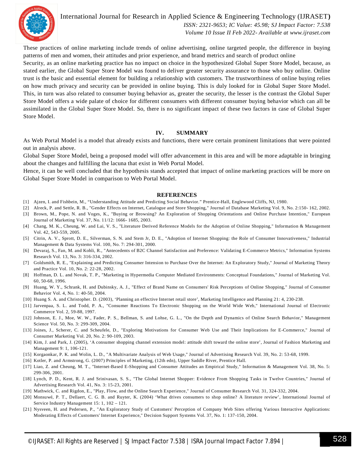

International Journal for Research in Applied Science & Engineering Technology (IJRASET**)**  *ISSN: 2321-9653; IC Value: 45.98; SJ Impact Factor: 7.538 Volume 10 Issue II Feb 2022- Available at www.ijraset.com*

These practices of online marketing include trends of online advertising, online targeted people, the difference in buying patterns of men and women, their attitudes and prior experience, and brand metrics and search of product online

Security, as an online marketing practice has no impact on choice in the hypothesized Global Super Store Model, because, as stated earlier, the Global Super Store Model was found to deliver greater security assurance to those who buy online. Online trust is the basic and essential element for building a relationship with customers. The trustworthiness of online buying relies on how much privacy and security can be provided in online buying. This is duly looked for in Global Super Store Model. This, in turn was also related to consumer buying behavior as, greater the security, the lesser is the contrast the Global Super Store Model offers a wide palate of choice for different consumers with different consumer buying behavior which can all be assimilated in the Global Super Store Model. So, there is no significant impact of these two factors in case of Global Super Store Model.

#### **IV. SUMMARY**

As Web Portal Model is a model that already exists and functions, there were certain prominent limitations that were pointed out in analysis above.

Global Super Store Model, being a proposed model will offer advancement in this area and will be more adaptable in bringing about the changes and fulfilling the lacuna that exist in Web Portal Model.

Hence, it can be well concluded that the hypothesis stands accepted that impact of online marketing practices will be more on Global Super Store Model in comparison to Web Portal Model.

#### **REFERENCES**

- [1] Ajzen, I. and Fishbein, M., "Understanding Attitude and Predicting Social Behavior." Prentice-Hall, Englewood Cliffs, NJ, 1980.
- [2] Alreck, P. and Settle, R. B., "Gender Effects on Internet, Catalogue and Store Shopping," Journal of Database Marketing Vol. 9, No. 2:150- 162, 2002.
- [3] Brown, M., Pope, N. and Voges, K., "Buying or Browsing? An Exploration of Shopping Orientations and Online Purchase Intention," European Journal of Marketing Vol. 37, No. 11/12: 1666- 1685, 2003.
- [4] Chang, M. K., Cheung, W. and Lai, V. S., "Literature Derived Reference Models for the Adoption of Online Shopping," Information & Management Vol. 42, 543-559, 2005.
- [5] Citrin, A. V., Sprott, D. E., Silverman, S. N. and Stem Jr, D. E., "Adoption of Internet Shopping: the Role of Consumer Innovativeness," Industrial Management & Data Systems Vol. 100, No. 7: 294-301, 2000.
- [6] Devaraj, S., Fan, M. and Kohli, R., "Antecedents of B2C Channel Satisfaction and Preference: Validating E-Commerce Metrics," Information Systems Research Vol. 13, No. 3: 316-334, 2002.
- [7] Goldsmith, R. E., "Explaining and Predicting Consumer Intension to Purchase Over the Internet: An Exploratory Study," Journal of Marketing Theory and Practice Vol. 10, No. 2: 22-28, 2002.
- [8] Hoffman, D. L. and Novak, T. P., "Marketing in Hypermedia Computer Mediated Environments: Conceptual Foundations," Journal of Marketing Vol. 60, 50-68, 1996.
- [9] Huang, W. Y., Schrank, H. and Dubinsky, A. J., "Effect of Brand Name on Consumers' Risk Perceptions of Online Shopping," Journal of Consumer Behavior Vol. 4, No. 1: 40-50, 2004.
- [10] Huang S. A. and Christopher. D. (2003), 'Planning an effective Internet retail store', Marketing Intelligence and Planning 21: 4, 230-238.
- [11] Jarvenpaa, S. L. and Todd, P. A., "Consumer Reactions To Electronic Shopping on the World Wide Web," International Journal of Electronic Commerce Vol. 2, 59-88, 1997.
- [12] Johnson, E. J., Moe, W. W., Fader, P. S., Bellman, S. and Lohse, G. L., "On the Depth and Dynamics of Online Search Behavior," Management Science Vol. 50, No. 3: 299-309, 2004.
- [13] Joines, J., Scherer, C. and Scheufele, D., "Exploring Motivations for Consumer Web Use and Their Implications for E-Commerce," Journal of Consumer Marketing Vol. 20, No. 2: 90-109, 2003.
- [14] Kim, J. and Park, J. (2005), 'A consumer shopping channel extension model: attitude shift toward the online store', Journal of Fashion Marketing and Management 9: 1, 106-121.
- [15] Korgaonkar, P. K. and Wolin, L. D., "A Multivariate Analysis of Web Usage," Journal of Advertising Research Vol. 39, No. 2: 53-68, 1999.
- [16] Kotler, P. and Armstrong, G. (2007) Principles of Marketing, (12th edn), Upper Saddle River, Prentice Hall.
- [17] Liao, Z. and Cheung, M. T., "Internet-Based E-Shopping and Consumer Attitudes an Empirical Study," Information & Management Vol. 38, No. 5: 299-306, 2001.
- [18] Lynch, P. D., Kent, R. J. and Srinivasan, S. S., "The Global Internet Shopper: Evidence From Shopping Tasks in Twelve Countries," Journal of Advertising Research Vol. 41, No. 3: 15-23, 2001.
- [19] Mathwick, C. and Rigdon, E., "Play, Flow, and the Online Search Experience," Journal of Consumer Research Vol. 31, 324-332, 2004.
- [20] Monsuwé, P. T., Dellaert, C. G. B. and Ruyter, K. (2004) 'What drives consumers to shop online? A literature review', International Journal of Service Industry Management 15: 1, 102 – 121.
- [21] Nysveen, H. and Pedersen, P., "An Exploratory Study of Customers' Perception of Company Web Sites offering Various Interactive Applications: Moderating Effects of Customers' Internet Experience," Decision Support Systems Vol. 37, No. 1: 137-150, 2004.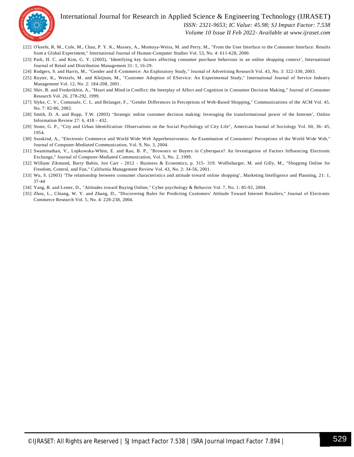

#### International Journal for Research in Applied Science & Engineering Technology (IJRASET**)**  *ISSN: 2321-9653; IC Value: 45.98; SJ Impact Factor: 7.538 Volume 10 Issue II Feb 2022- Available at www.ijraset.com*

- [22] O'keefe, R. M., Cole, M., Chau, P. Y. K., Massey, A., Montoya-Weiss, M. and Perry, M., "From the User Interface to the Consumer Interface: Results from a Global Experiment," International Journal of Human-Computer Studies Vol. 53, No. 4: 611-628, 2000.
- [23] Park, H. C. and Kim, G. Y. (2003), 'Identifying key factors affecting consumer purchase behaviour in an online shopping context', International Journal of Retail and Distribution Management 31: 1, 16-29.
- [24] Rodgers, S. and Harris, M., "Gender and E-Commerce: An Exploratory Study," Journal of Advertising Research Vol. 43, No. 3: 322-330, 2003.
- [25] Ruyter, K., Wetzels, M. and Kleijnen, M., "Customer Adoption of EService: An Experimental Study," International Journal of Service Industry Management Vol. 12, No. 2: 184-208, 2001.
- [26] Shiv, B. and Fredorikhin, A., "Heart and Mind in Conflict: the Interplay of Affect and Cognition in Consumer Decision Making," Journal of Consumer Research Vol. 26, 278-292, 1999.
- [27] Slyke, C. V., Comunale, C. L. and Belanger, F., "Gender Differences in Perceptions of Web-Based Shopping," Communications of the ACM Vol. 45, No. 7: 82-86, 2002.
- [28] Smith, D. A. and Rupp, T.W. (2003) 'Strategic online customer decision making: leveraging the transformational power of the Internet', Online Information Review 27: 6, 418 – 432.
- [29] Stone, G. P., "City and Urban Identification: Observations on the Social Psychology of City Life", American Journal of Sociology Vol. 60, 36- 45, 1954.
- [30] Susskind, A., "Electronic Commerce and World Wide Web Apprehensiveness: An Examination of Consumers' Perceptions of the World Wide Web," Journal of Computer-Mediated Communication, Vol. 9, No. 3, 2004.
- [31] Swaminathan, V., Lepkowska-White, E. and Rao, B. P., "Browsers or Buyers in Cyberspace? An Investigation of Factors Influencing Electronic Exchange," Journal of Computer-Mediated Communication, Vol. 5, No. 2, 1999.
- [32] William Zikmund, Barry Babin, Jon Carr 2012 Business & Economics, p. 315- 319. Wolfinbarger, M. and Gilly, M., "Shopping Online for Freedom, Control, and Fun," California Management Review Vol. 43, No. 2: 34-56, 2001.
- [33] Wu, S. (2003) 'The relationship between consumer characteristics and attitude toward online shopping', Marketing Intelligence and Planning, 21: 1, 37-44
- [34] Yang, B. and Lester, D., "Attitudes toward Buying Online," Cyber psychology & Behavior Vol. 7, No. 1: 85-92, 2004.
- [35] Zhou, L., Chiang, W. Y. and Zhang, D., "Discovering Rules for Predicting Customers' Attitude Toward Internet Retailers," Journal of Electronic Commerce Research Vol. 5, No. 4: 228-238, 2004.